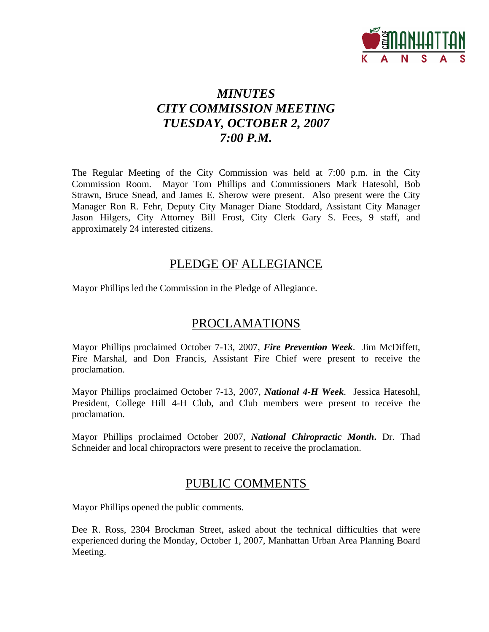

# *MINUTES CITY COMMISSION MEETING TUESDAY, OCTOBER 2, 2007 7:00 P.M.*

The Regular Meeting of the City Commission was held at 7:00 p.m. in the City Commission Room. Mayor Tom Phillips and Commissioners Mark Hatesohl, Bob Strawn, Bruce Snead, and James E. Sherow were present. Also present were the City Manager Ron R. Fehr, Deputy City Manager Diane Stoddard, Assistant City Manager Jason Hilgers, City Attorney Bill Frost, City Clerk Gary S. Fees, 9 staff, and approximately 24 interested citizens.

# PLEDGE OF ALLEGIANCE

Mayor Phillips led the Commission in the Pledge of Allegiance.

# PROCLAMATIONS

Mayor Phillips proclaimed October 7-13, 2007, *Fire Prevention Week*. Jim McDiffett, Fire Marshal, and Don Francis, Assistant Fire Chief were present to receive the proclamation.

Mayor Phillips proclaimed October 7-13, 2007, *National 4-H Week*. Jessica Hatesohl, President, College Hill 4-H Club, and Club members were present to receive the proclamation.

Mayor Phillips proclaimed October 2007, *National Chiropractic Month***.** Dr. Thad Schneider and local chiropractors were present to receive the proclamation.

# PUBLIC COMMENTS

Mayor Phillips opened the public comments.

Dee R. Ross, 2304 Brockman Street, asked about the technical difficulties that were experienced during the Monday, October 1, 2007, Manhattan Urban Area Planning Board Meeting.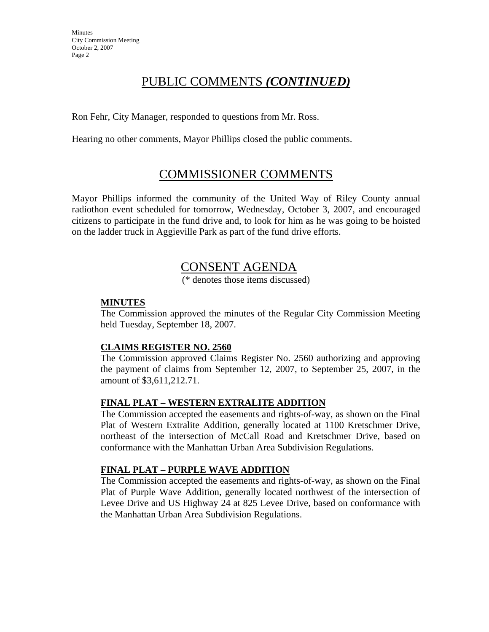# PUBLIC COMMENTS *(CONTINUED)*

Ron Fehr, City Manager, responded to questions from Mr. Ross.

Hearing no other comments, Mayor Phillips closed the public comments.

# COMMISSIONER COMMENTS

Mayor Phillips informed the community of the United Way of Riley County annual radiothon event scheduled for tomorrow, Wednesday, October 3, 2007, and encouraged citizens to participate in the fund drive and, to look for him as he was going to be hoisted on the ladder truck in Aggieville Park as part of the fund drive efforts.

# CONSENT AGENDA

(\* denotes those items discussed)

## **MINUTES**

The Commission approved the minutes of the Regular City Commission Meeting held Tuesday, September 18, 2007.

## **CLAIMS REGISTER NO. 2560**

The Commission approved Claims Register No. 2560 authorizing and approving the payment of claims from September 12, 2007, to September 25, 2007, in the amount of \$3,611,212.71.

## **FINAL PLAT – WESTERN EXTRALITE ADDITION**

The Commission accepted the easements and rights-of-way, as shown on the Final Plat of Western Extralite Addition, generally located at 1100 Kretschmer Drive, northeast of the intersection of McCall Road and Kretschmer Drive, based on conformance with the Manhattan Urban Area Subdivision Regulations.

# **FINAL PLAT – PURPLE WAVE ADDITION**

The Commission accepted the easements and rights-of-way, as shown on the Final Plat of Purple Wave Addition, generally located northwest of the intersection of Levee Drive and US Highway 24 at 825 Levee Drive, based on conformance with the Manhattan Urban Area Subdivision Regulations.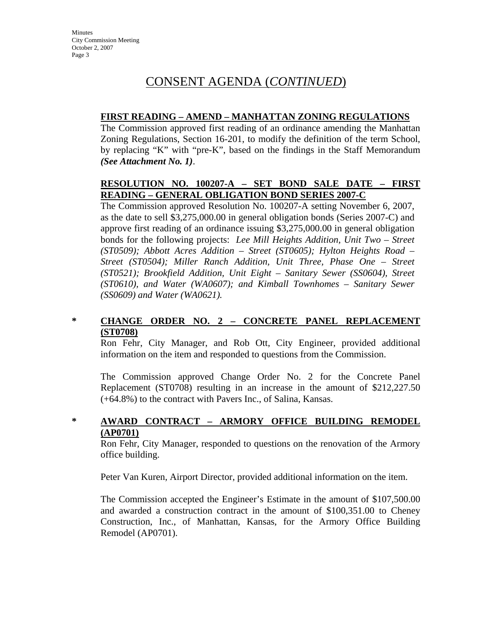# CONSENT AGENDA (*CONTINUED*)

## **FIRST READING – AMEND – MANHATTAN ZONING REGULATIONS**

The Commission approved first reading of an ordinance amending the Manhattan Zoning Regulations, Section 16-201, to modify the definition of the term School, by replacing "K" with "pre-K", based on the findings in the Staff Memorandum *(See Attachment No. 1)*.

## **RESOLUTION NO. 100207-A – SET BOND SALE DATE – FIRST READING – GENERAL OBLIGATION BOND SERIES 2007-C**

The Commission approved Resolution No. 100207-A setting November 6, 2007, as the date to sell \$3,275,000.00 in general obligation bonds (Series 2007-C) and approve first reading of an ordinance issuing \$3,275,000.00 in general obligation bonds for the following projects: *Lee Mill Heights Addition, Unit Two – Street (ST0509); Abbott Acres Addition – Street (ST0605); Hylton Heights Road – Street (ST0504); Miller Ranch Addition, Unit Three, Phase One – Street (ST0521); Brookfield Addition, Unit Eight – Sanitary Sewer (SS0604), Street (ST0610), and Water (WA0607); and Kimball Townhomes – Sanitary Sewer (SS0609) and Water (WA0621).* 

## **\* CHANGE ORDER NO. 2 – CONCRETE PANEL REPLACEMENT (ST0708)**

Ron Fehr, City Manager, and Rob Ott, City Engineer, provided additional information on the item and responded to questions from the Commission.

The Commission approved Change Order No. 2 for the Concrete Panel Replacement (ST0708) resulting in an increase in the amount of \$212,227.50 (+64.8%) to the contract with Pavers Inc., of Salina, Kansas.

# **\* AWARD CONTRACT – ARMORY OFFICE BUILDING REMODEL (AP0701)**

Ron Fehr, City Manager, responded to questions on the renovation of the Armory office building.

Peter Van Kuren, Airport Director, provided additional information on the item.

The Commission accepted the Engineer's Estimate in the amount of \$107,500.00 and awarded a construction contract in the amount of \$100,351.00 to Cheney Construction, Inc., of Manhattan, Kansas, for the Armory Office Building Remodel (AP0701).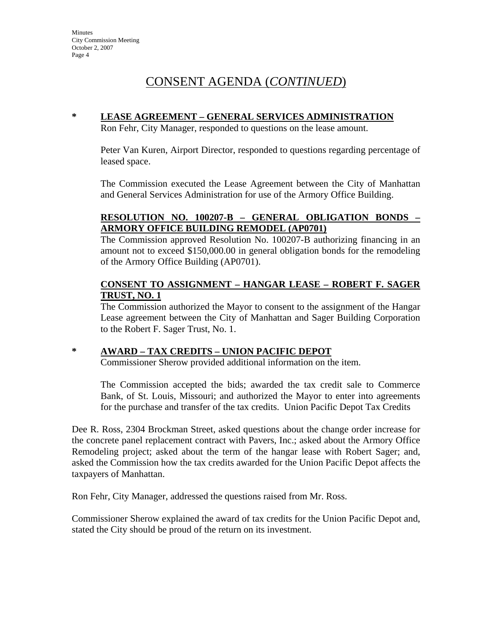# CONSENT AGENDA (*CONTINUED*)

# **\* LEASE AGREEMENT – GENERAL SERVICES ADMINISTRATION**

Ron Fehr, City Manager, responded to questions on the lease amount.

Peter Van Kuren, Airport Director, responded to questions regarding percentage of leased space.

The Commission executed the Lease Agreement between the City of Manhattan and General Services Administration for use of the Armory Office Building.

# **RESOLUTION NO. 100207-B – GENERAL OBLIGATION BONDS – ARMORY OFFICE BUILDING REMODEL (AP0701)**

The Commission approved Resolution No. 100207-B authorizing financing in an amount not to exceed \$150,000.00 in general obligation bonds for the remodeling of the Armory Office Building (AP0701).

## **CONSENT TO ASSIGNMENT – HANGAR LEASE – ROBERT F. SAGER TRUST, NO. 1**

The Commission authorized the Mayor to consent to the assignment of the Hangar Lease agreement between the City of Manhattan and Sager Building Corporation to the Robert F. Sager Trust, No. 1.

## **\* AWARD – TAX CREDITS – UNION PACIFIC DEPOT**

Commissioner Sherow provided additional information on the item.

The Commission accepted the bids; awarded the tax credit sale to Commerce Bank, of St. Louis, Missouri; and authorized the Mayor to enter into agreements for the purchase and transfer of the tax credits. Union Pacific Depot Tax Credits

Dee R. Ross, 2304 Brockman Street, asked questions about the change order increase for the concrete panel replacement contract with Pavers, Inc.; asked about the Armory Office Remodeling project; asked about the term of the hangar lease with Robert Sager; and, asked the Commission how the tax credits awarded for the Union Pacific Depot affects the taxpayers of Manhattan.

Ron Fehr, City Manager, addressed the questions raised from Mr. Ross.

Commissioner Sherow explained the award of tax credits for the Union Pacific Depot and, stated the City should be proud of the return on its investment.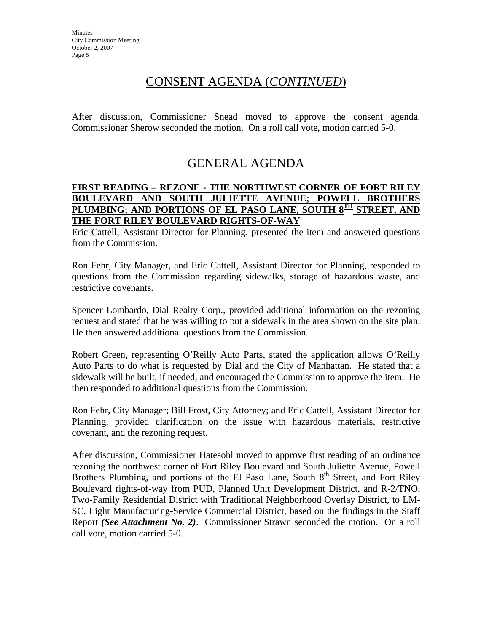# CONSENT AGENDA (*CONTINUED*)

After discussion, Commissioner Snead moved to approve the consent agenda. Commissioner Sherow seconded the motion. On a roll call vote, motion carried 5-0.

# GENERAL AGENDA

#### **FIRST READING – REZONE - THE NORTHWEST CORNER OF FORT RILEY BOULEVARD AND SOUTH JULIETTE AVENUE; POWELL BROTHERS**  PLUMBING; AND PORTIONS OF EL PASO LANE, SOUTH 8<sup>TH</sup> STREET, AND **THE FORT RILEY BOULEVARD RIGHTS-OF-WAY**

Eric Cattell, Assistant Director for Planning, presented the item and answered questions from the Commission.

Ron Fehr, City Manager, and Eric Cattell, Assistant Director for Planning, responded to questions from the Commission regarding sidewalks, storage of hazardous waste, and restrictive covenants.

Spencer Lombardo, Dial Realty Corp., provided additional information on the rezoning request and stated that he was willing to put a sidewalk in the area shown on the site plan. He then answered additional questions from the Commission.

Robert Green, representing O'Reilly Auto Parts, stated the application allows O'Reilly Auto Parts to do what is requested by Dial and the City of Manhattan. He stated that a sidewalk will be built, if needed, and encouraged the Commission to approve the item. He then responded to additional questions from the Commission.

Ron Fehr, City Manager; Bill Frost, City Attorney; and Eric Cattell, Assistant Director for Planning, provided clarification on the issue with hazardous materials, restrictive covenant, and the rezoning request.

After discussion, Commissioner Hatesohl moved to approve first reading of an ordinance rezoning the northwest corner of Fort Riley Boulevard and South Juliette Avenue, Powell Brothers Plumbing, and portions of the El Paso Lane, South  $8<sup>th</sup>$  Street, and Fort Riley Boulevard rights-of-way from PUD, Planned Unit Development District, and R-2/TNO, Two-Family Residential District with Traditional Neighborhood Overlay District, to LM-SC, Light Manufacturing-Service Commercial District, based on the findings in the Staff Report *(See Attachment No. 2)*. Commissioner Strawn seconded the motion. On a roll call vote, motion carried 5-0.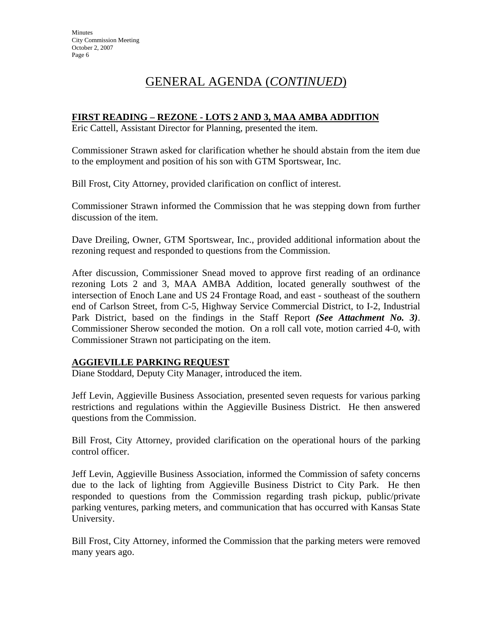# GENERAL AGENDA (*CONTINUED*)

## **FIRST READING – REZONE - LOTS 2 AND 3, MAA AMBA ADDITION**

Eric Cattell, Assistant Director for Planning, presented the item.

Commissioner Strawn asked for clarification whether he should abstain from the item due to the employment and position of his son with GTM Sportswear, Inc.

Bill Frost, City Attorney, provided clarification on conflict of interest.

Commissioner Strawn informed the Commission that he was stepping down from further discussion of the item.

Dave Dreiling, Owner, GTM Sportswear, Inc., provided additional information about the rezoning request and responded to questions from the Commission.

After discussion, Commissioner Snead moved to approve first reading of an ordinance rezoning Lots 2 and 3, MAA AMBA Addition, located generally southwest of the intersection of Enoch Lane and US 24 Frontage Road, and east - southeast of the southern end of Carlson Street, from C-5, Highway Service Commercial District, to I-2, Industrial Park District, based on the findings in the Staff Report *(See Attachment No. 3)*. Commissioner Sherow seconded the motion. On a roll call vote, motion carried 4-0, with Commissioner Strawn not participating on the item.

## **AGGIEVILLE PARKING REQUEST**

Diane Stoddard, Deputy City Manager, introduced the item.

Jeff Levin, Aggieville Business Association, presented seven requests for various parking restrictions and regulations within the Aggieville Business District. He then answered questions from the Commission.

Bill Frost, City Attorney, provided clarification on the operational hours of the parking control officer.

Jeff Levin, Aggieville Business Association, informed the Commission of safety concerns due to the lack of lighting from Aggieville Business District to City Park. He then responded to questions from the Commission regarding trash pickup, public/private parking ventures, parking meters, and communication that has occurred with Kansas State University.

Bill Frost, City Attorney, informed the Commission that the parking meters were removed many years ago.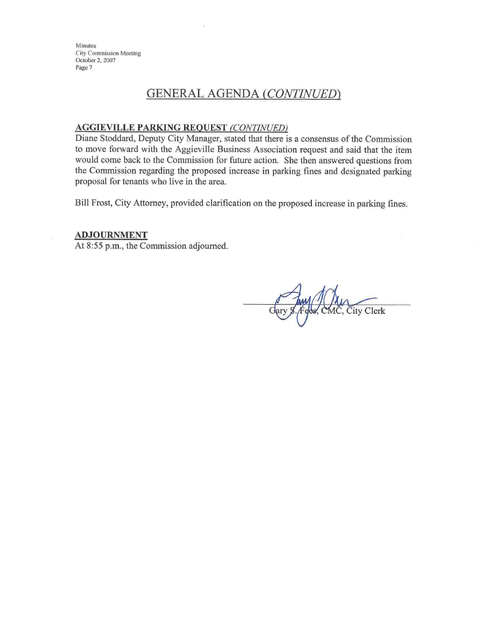**Minutes City Commission Meeting** October 2, 2007 Page 7

# **GENERAL AGENDA (CONTINUED)**

#### **AGGIEVILLE PARKING REQUEST (CONTINUED)**

Diane Stoddard, Deputy City Manager, stated that there is a consensus of the Commission to move forward with the Aggieville Business Association request and said that the item would come back to the Commission for future action. She then answered questions from the Commission regarding the proposed increase in parking fines and designated parking proposal for tenants who live in the area.

Bill Frost, City Attorney, provided clarification on the proposed increase in parking fines.

#### **ADJOURNMENT**

At 8:55 p.m., the Commission adjourned.

Fges, CMC, City Clerk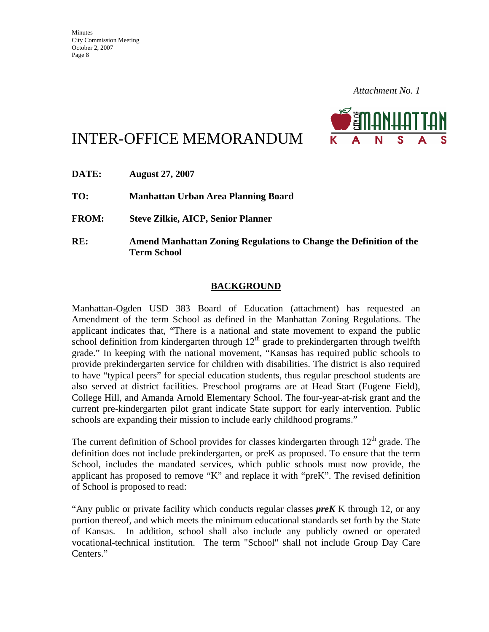

# INTER-OFFICE MEMORANDUM

| DATE:        | <b>August 27, 2007</b>                                                                          |
|--------------|-------------------------------------------------------------------------------------------------|
| TO:          | Manhattan Urban Area Planning Board                                                             |
| <b>FROM:</b> | <b>Steve Zilkie, AICP, Senior Planner</b>                                                       |
| RE:          | <b>Amend Manhattan Zoning Regulations to Change the Definition of the</b><br><b>Term School</b> |

# **BACKGROUND**

Manhattan-Ogden USD 383 Board of Education (attachment) has requested an Amendment of the term School as defined in the Manhattan Zoning Regulations. The applicant indicates that, "There is a national and state movement to expand the public school definition from kindergarten through  $12<sup>th</sup>$  grade to prekindergarten through twelfth grade." In keeping with the national movement, "Kansas has required public schools to provide prekindergarten service for children with disabilities. The district is also required to have "typical peers" for special education students, thus regular preschool students are also served at district facilities. Preschool programs are at Head Start (Eugene Field), College Hill, and Amanda Arnold Elementary School. The four-year-at-risk grant and the current pre-kindergarten pilot grant indicate State support for early intervention. Public schools are expanding their mission to include early childhood programs."

The current definition of School provides for classes kindergarten through  $12<sup>th</sup>$  grade. The definition does not include prekindergarten, or preK as proposed. To ensure that the term School, includes the mandated services, which public schools must now provide, the applicant has proposed to remove "K" and replace it with "preK". The revised definition of School is proposed to read:

"Any public or private facility which conducts regular classes *preK* K through 12, or any portion thereof, and which meets the minimum educational standards set forth by the State of Kansas. In addition, school shall also include any publicly owned or operated vocational-technical institution. The term "School" shall not include Group Day Care Centers."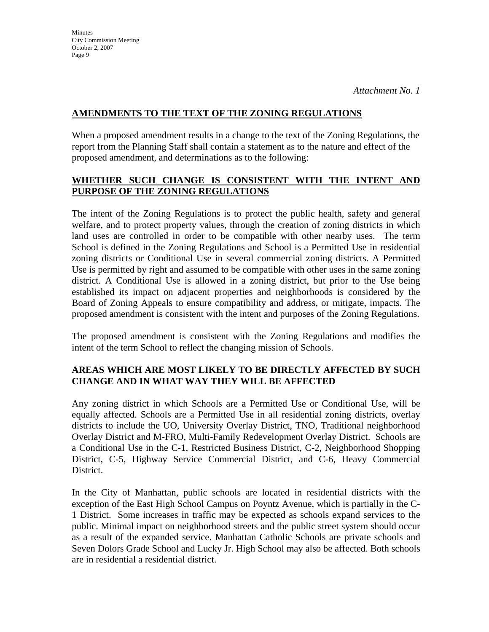## **AMENDMENTS TO THE TEXT OF THE ZONING REGULATIONS**

When a proposed amendment results in a change to the text of the Zoning Regulations, the report from the Planning Staff shall contain a statement as to the nature and effect of the proposed amendment, and determinations as to the following:

# **WHETHER SUCH CHANGE IS CONSISTENT WITH THE INTENT AND PURPOSE OF THE ZONING REGULATIONS**

The intent of the Zoning Regulations is to protect the public health, safety and general welfare, and to protect property values, through the creation of zoning districts in which land uses are controlled in order to be compatible with other nearby uses. The term School is defined in the Zoning Regulations and School is a Permitted Use in residential zoning districts or Conditional Use in several commercial zoning districts. A Permitted Use is permitted by right and assumed to be compatible with other uses in the same zoning district. A Conditional Use is allowed in a zoning district, but prior to the Use being established its impact on adjacent properties and neighborhoods is considered by the Board of Zoning Appeals to ensure compatibility and address, or mitigate, impacts. The proposed amendment is consistent with the intent and purposes of the Zoning Regulations.

The proposed amendment is consistent with the Zoning Regulations and modifies the intent of the term School to reflect the changing mission of Schools.

# **AREAS WHICH ARE MOST LIKELY TO BE DIRECTLY AFFECTED BY SUCH CHANGE AND IN WHAT WAY THEY WILL BE AFFECTED**

Any zoning district in which Schools are a Permitted Use or Conditional Use, will be equally affected. Schools are a Permitted Use in all residential zoning districts, overlay districts to include the UO, University Overlay District, TNO, Traditional neighborhood Overlay District and M-FRO, Multi-Family Redevelopment Overlay District. Schools are a Conditional Use in the C-1, Restricted Business District, C-2, Neighborhood Shopping District, C-5, Highway Service Commercial District, and C-6, Heavy Commercial District.

In the City of Manhattan, public schools are located in residential districts with the exception of the East High School Campus on Poyntz Avenue, which is partially in the C-1 District. Some increases in traffic may be expected as schools expand services to the public. Minimal impact on neighborhood streets and the public street system should occur as a result of the expanded service. Manhattan Catholic Schools are private schools and Seven Dolors Grade School and Lucky Jr. High School may also be affected. Both schools are in residential a residential district.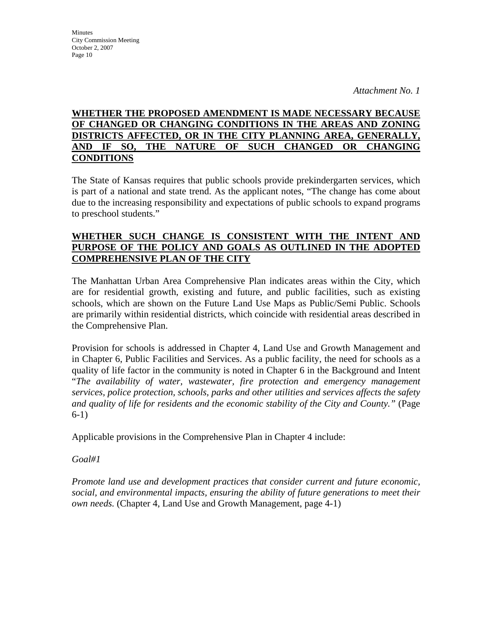# **WHETHER THE PROPOSED AMENDMENT IS MADE NECESSARY BECAUSE OF CHANGED OR CHANGING CONDITIONS IN THE AREAS AND ZONING DISTRICTS AFFECTED, OR IN THE CITY PLANNING AREA, GENERALLY, AND IF SO, THE NATURE OF SUCH CHANGED OR CHANGING CONDITIONS**

The State of Kansas requires that public schools provide prekindergarten services, which is part of a national and state trend. As the applicant notes, "The change has come about due to the increasing responsibility and expectations of public schools to expand programs to preschool students."

## **WHETHER SUCH CHANGE IS CONSISTENT WITH THE INTENT AND PURPOSE OF THE POLICY AND GOALS AS OUTLINED IN THE ADOPTED COMPREHENSIVE PLAN OF THE CITY**

The Manhattan Urban Area Comprehensive Plan indicates areas within the City, which are for residential growth, existing and future, and public facilities, such as existing schools, which are shown on the Future Land Use Maps as Public/Semi Public. Schools are primarily within residential districts, which coincide with residential areas described in the Comprehensive Plan.

Provision for schools is addressed in Chapter 4, Land Use and Growth Management and in Chapter 6, Public Facilities and Services. As a public facility, the need for schools as a quality of life factor in the community is noted in Chapter 6 in the Background and Intent "*The availability of water, wastewater, fire protection and emergency management services, police protection, schools, parks and other utilities and services affects the safety and quality of life for residents and the economic stability of the City and County."* (Page 6-1)

Applicable provisions in the Comprehensive Plan in Chapter 4 include:

# *Goal#1*

*Promote land use and development practices that consider current and future economic, social, and environmental impacts, ensuring the ability of future generations to meet their own needs.* (Chapter 4, Land Use and Growth Management, page 4-1)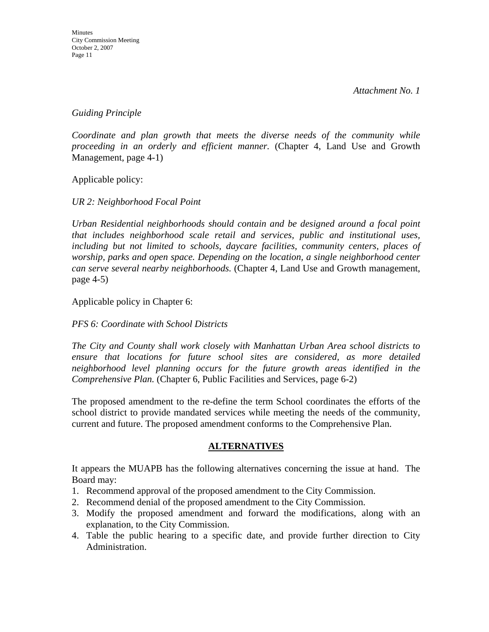*Guiding Principle* 

*Coordinate and plan growth that meets the diverse needs of the community while proceeding in an orderly and efficient manner.* (Chapter 4, Land Use and Growth Management, page 4-1)

Applicable policy:

*UR 2: Neighborhood Focal Point* 

*Urban Residential neighborhoods should contain and be designed around a focal point that includes neighborhood scale retail and services, public and institutional uses, including but not limited to schools, daycare facilities, community centers, places of worship, parks and open space. Depending on the location, a single neighborhood center can serve several nearby neighborhoods.* (Chapter 4, Land Use and Growth management, page 4-5)

Applicable policy in Chapter 6:

#### *PFS 6: Coordinate with School Districts*

*The City and County shall work closely with Manhattan Urban Area school districts to ensure that locations for future school sites are considered, as more detailed neighborhood level planning occurs for the future growth areas identified in the Comprehensive Plan.* (Chapter 6, Public Facilities and Services, page 6-2)

The proposed amendment to the re-define the term School coordinates the efforts of the school district to provide mandated services while meeting the needs of the community, current and future. The proposed amendment conforms to the Comprehensive Plan.

## **ALTERNATIVES**

It appears the MUAPB has the following alternatives concerning the issue at hand. The Board may:

- 1. Recommend approval of the proposed amendment to the City Commission.
- 2. Recommend denial of the proposed amendment to the City Commission.
- 3. Modify the proposed amendment and forward the modifications, along with an explanation, to the City Commission.
- 4. Table the public hearing to a specific date, and provide further direction to City Administration.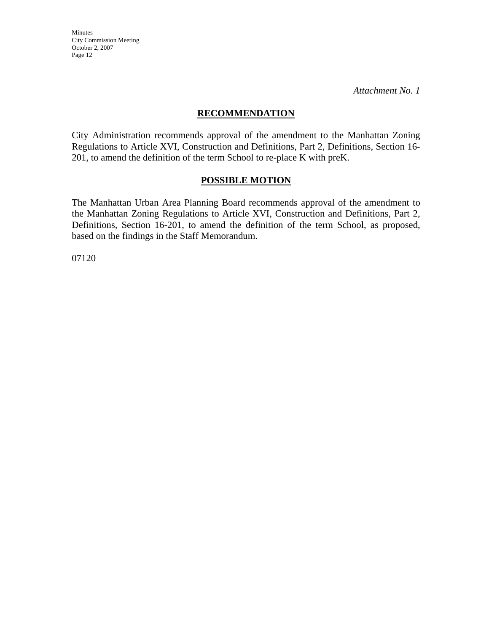Minutes City Commission Meeting October 2, 2007 Page 12

*Attachment No. 1* 

#### **RECOMMENDATION**

City Administration recommends approval of the amendment to the Manhattan Zoning Regulations to Article XVI, Construction and Definitions, Part 2, Definitions, Section 16- 201, to amend the definition of the term School to re-place K with preK.

#### **POSSIBLE MOTION**

The Manhattan Urban Area Planning Board recommends approval of the amendment to the Manhattan Zoning Regulations to Article XVI, Construction and Definitions, Part 2, Definitions, Section 16-201, to amend the definition of the term School, as proposed, based on the findings in the Staff Memorandum.

07120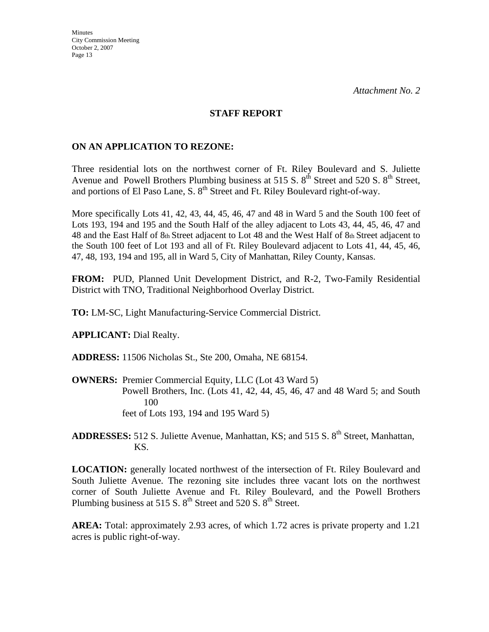#### **STAFF REPORT**

#### **ON AN APPLICATION TO REZONE:**

Three residential lots on the northwest corner of Ft. Riley Boulevard and S. Juliette Avenue and Powell Brothers Plumbing business at 515 S.  $8<sup>th</sup>$  Street and 520 S.  $8<sup>th</sup>$  Street, and portions of El Paso Lane, S. 8<sup>th</sup> Street and Ft. Riley Boulevard right-of-way.

More specifically Lots 41, 42, 43, 44, 45, 46, 47 and 48 in Ward 5 and the South 100 feet of Lots 193, 194 and 195 and the South Half of the alley adjacent to Lots 43, 44, 45, 46, 47 and 48 and the East Half of 8th Street adjacent to Lot 48 and the West Half of 8th Street adjacent to the South 100 feet of Lot 193 and all of Ft. Riley Boulevard adjacent to Lots 41, 44, 45, 46, 47, 48, 193, 194 and 195, all in Ward 5, City of Manhattan, Riley County, Kansas.

**FROM:** PUD, Planned Unit Development District, and R-2, Two-Family Residential District with TNO, Traditional Neighborhood Overlay District.

**TO:** LM-SC, Light Manufacturing-Service Commercial District.

**APPLICANT:** Dial Realty.

**ADDRESS:** 11506 Nicholas St., Ste 200, Omaha, NE 68154.

**OWNERS:** Premier Commercial Equity, LLC (Lot 43 Ward 5) Powell Brothers, Inc. (Lots 41, 42, 44, 45, 46, 47 and 48 Ward 5; and South 100 feet of Lots 193, 194 and 195 Ward 5)

ADDRESSES: 512 S. Juliette Avenue, Manhattan, KS; and 515 S. 8<sup>th</sup> Street, Manhattan, KS.

**LOCATION:** generally located northwest of the intersection of Ft. Riley Boulevard and South Juliette Avenue. The rezoning site includes three vacant lots on the northwest corner of South Juliette Avenue and Ft. Riley Boulevard, and the Powell Brothers Plumbing business at 515 S.  $8<sup>th</sup>$  Street and 520 S.  $8<sup>th</sup>$  Street.

**AREA:** Total: approximately 2.93 acres, of which 1.72 acres is private property and 1.21 acres is public right-of-way.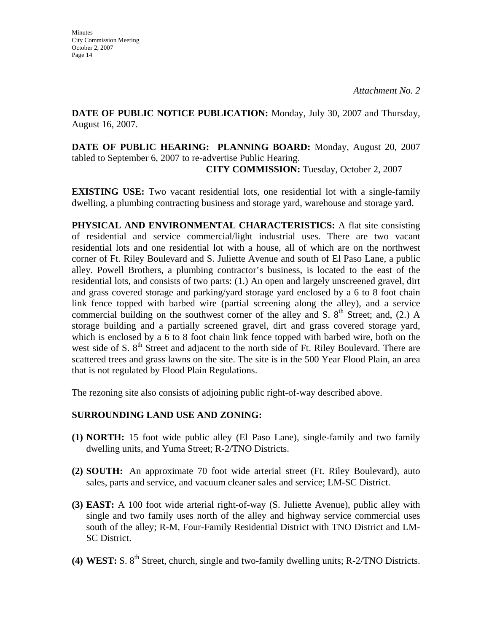**DATE OF PUBLIC NOTICE PUBLICATION:** Monday, July 30, 2007 and Thursday, August 16, 2007.

**DATE OF PUBLIC HEARING: PLANNING BOARD:** Monday, August 20, 2007 tabled to September 6, 2007 to re-advertise Public Hearing. **CITY COMMISSION:** Tuesday, October 2, 2007

**EXISTING USE:** Two vacant residential lots, one residential lot with a single-family dwelling, a plumbing contracting business and storage yard, warehouse and storage yard.

**PHYSICAL AND ENVIRONMENTAL CHARACTERISTICS:** A flat site consisting of residential and service commercial/light industrial uses. There are two vacant residential lots and one residential lot with a house, all of which are on the northwest corner of Ft. Riley Boulevard and S. Juliette Avenue and south of El Paso Lane, a public alley. Powell Brothers, a plumbing contractor's business, is located to the east of the residential lots, and consists of two parts: (1.) An open and largely unscreened gravel, dirt and grass covered storage and parking/yard storage yard enclosed by a 6 to 8 foot chain link fence topped with barbed wire (partial screening along the alley), and a service commercial building on the southwest corner of the alley and S.  $8<sup>th</sup>$  Street; and, (2.) A storage building and a partially screened gravel, dirt and grass covered storage yard, which is enclosed by a 6 to 8 foot chain link fence topped with barbed wire, both on the west side of S.  $8<sup>th</sup>$  Street and adjacent to the north side of Ft. Riley Boulevard. There are scattered trees and grass lawns on the site. The site is in the 500 Year Flood Plain, an area that is not regulated by Flood Plain Regulations.

The rezoning site also consists of adjoining public right-of-way described above.

# **SURROUNDING LAND USE AND ZONING:**

- **(1) NORTH:** 15 foot wide public alley (El Paso Lane), single-family and two family dwelling units, and Yuma Street; R-2/TNO Districts.
- **(2) SOUTH:** An approximate 70 foot wide arterial street (Ft. Riley Boulevard), auto sales, parts and service, and vacuum cleaner sales and service; LM-SC District.
- **(3) EAST:** A 100 foot wide arterial right-of-way (S. Juliette Avenue), public alley with single and two family uses north of the alley and highway service commercial uses south of the alley; R-M, Four-Family Residential District with TNO District and LM-SC District.
- (4) WEST: S.  $8<sup>th</sup>$  Street, church, single and two-family dwelling units; R-2/TNO Districts.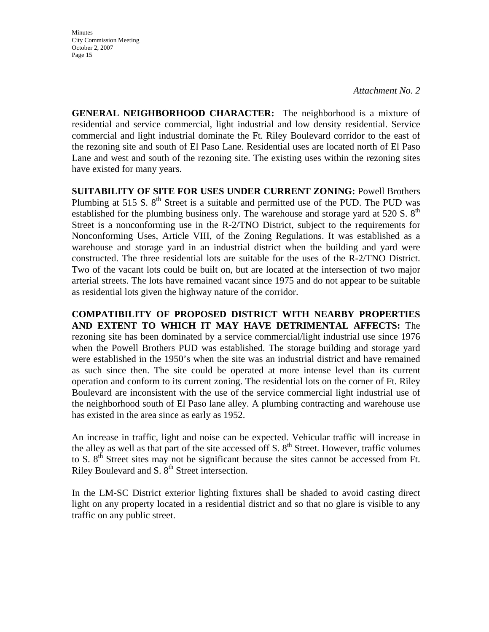**Minutes** City Commission Meeting October 2, 2007 Page 15

*Attachment No. 2* 

**GENERAL NEIGHBORHOOD CHARACTER:** The neighborhood is a mixture of residential and service commercial, light industrial and low density residential. Service commercial and light industrial dominate the Ft. Riley Boulevard corridor to the east of the rezoning site and south of El Paso Lane. Residential uses are located north of El Paso Lane and west and south of the rezoning site. The existing uses within the rezoning sites have existed for many years.

**SUITABILITY OF SITE FOR USES UNDER CURRENT ZONING:** Powell Brothers Plumbing at 515 S.  $8<sup>th</sup>$  Street is a suitable and permitted use of the PUD. The PUD was established for the plumbing business only. The warehouse and storage yard at 520 S.  $8<sup>th</sup>$ Street is a nonconforming use in the R-2/TNO District, subject to the requirements for Nonconforming Uses, Article VIII, of the Zoning Regulations. It was established as a warehouse and storage yard in an industrial district when the building and yard were constructed. The three residential lots are suitable for the uses of the R-2/TNO District. Two of the vacant lots could be built on, but are located at the intersection of two major arterial streets. The lots have remained vacant since 1975 and do not appear to be suitable as residential lots given the highway nature of the corridor.

**COMPATIBILITY OF PROPOSED DISTRICT WITH NEARBY PROPERTIES AND EXTENT TO WHICH IT MAY HAVE DETRIMENTAL AFFECTS:** The rezoning site has been dominated by a service commercial/light industrial use since 1976 when the Powell Brothers PUD was established. The storage building and storage yard were established in the 1950's when the site was an industrial district and have remained as such since then. The site could be operated at more intense level than its current operation and conform to its current zoning. The residential lots on the corner of Ft. Riley Boulevard are inconsistent with the use of the service commercial light industrial use of the neighborhood south of El Paso lane alley. A plumbing contracting and warehouse use has existed in the area since as early as 1952.

An increase in traffic, light and noise can be expected. Vehicular traffic will increase in the alley as well as that part of the site accessed off S.  $8<sup>th</sup>$  Street. However, traffic volumes to S. 8<sup>th</sup> Street sites may not be significant because the sites cannot be accessed from Ft. Riley Boulevard and S. 8<sup>th</sup> Street intersection.

In the LM-SC District exterior lighting fixtures shall be shaded to avoid casting direct light on any property located in a residential district and so that no glare is visible to any traffic on any public street.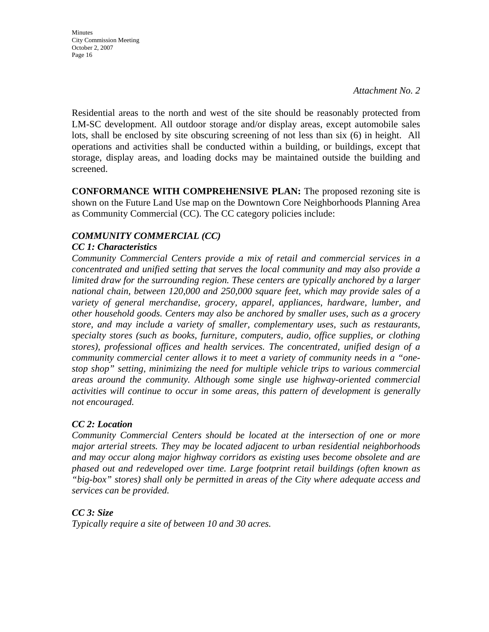City Commission Meeting October 2, 2007 Page 16

**Minutes** 

*Attachment No. 2* 

Residential areas to the north and west of the site should be reasonably protected from LM-SC development. All outdoor storage and/or display areas, except automobile sales lots, shall be enclosed by site obscuring screening of not less than six (6) in height. All operations and activities shall be conducted within a building, or buildings, except that storage, display areas, and loading docks may be maintained outside the building and screened.

**CONFORMANCE WITH COMPREHENSIVE PLAN:** The proposed rezoning site is shown on the Future Land Use map on the Downtown Core Neighborhoods Planning Area as Community Commercial (CC). The CC category policies include:

# *COMMUNITY COMMERCIAL (CC)*

## *CC 1: Characteristics*

*Community Commercial Centers provide a mix of retail and commercial services in a concentrated and unified setting that serves the local community and may also provide a limited draw for the surrounding region. These centers are typically anchored by a larger national chain, between 120,000 and 250,000 square feet, which may provide sales of a variety of general merchandise, grocery, apparel, appliances, hardware, lumber, and other household goods. Centers may also be anchored by smaller uses, such as a grocery store, and may include a variety of smaller, complementary uses, such as restaurants, specialty stores (such as books, furniture, computers, audio, office supplies, or clothing stores), professional offices and health services. The concentrated, unified design of a community commercial center allows it to meet a variety of community needs in a "onestop shop" setting, minimizing the need for multiple vehicle trips to various commercial areas around the community. Although some single use highway-oriented commercial activities will continue to occur in some areas, this pattern of development is generally not encouraged.* 

## *CC 2: Location*

*Community Commercial Centers should be located at the intersection of one or more major arterial streets. They may be located adjacent to urban residential neighborhoods and may occur along major highway corridors as existing uses become obsolete and are phased out and redeveloped over time. Large footprint retail buildings (often known as "big-box" stores) shall only be permitted in areas of the City where adequate access and services can be provided.* 

# *CC 3: Size*

*Typically require a site of between 10 and 30 acres.*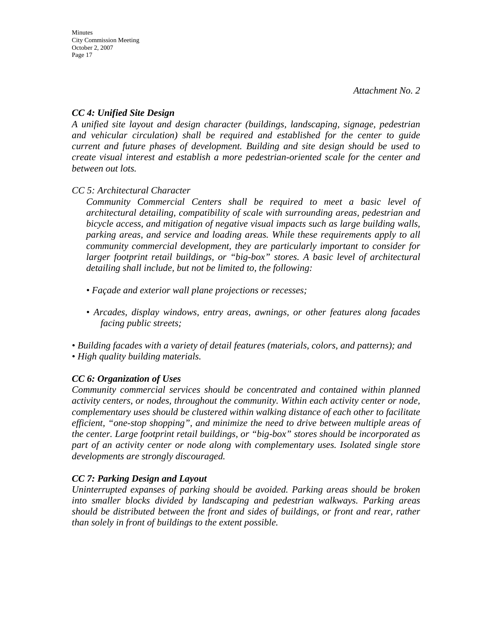## *CC 4: Unified Site Design*

*A unified site layout and design character (buildings, landscaping, signage, pedestrian and vehicular circulation) shall be required and established for the center to guide current and future phases of development. Building and site design should be used to create visual interest and establish a more pedestrian-oriented scale for the center and between out lots.* 

*CC 5: Architectural Character* 

*Community Commercial Centers shall be required to meet a basic level of architectural detailing, compatibility of scale with surrounding areas, pedestrian and bicycle access, and mitigation of negative visual impacts such as large building walls, parking areas, and service and loading areas. While these requirements apply to all community commercial development, they are particularly important to consider for larger footprint retail buildings, or "big-box" stores. A basic level of architectural detailing shall include, but not be limited to, the following:* 

- *Façade and exterior wall plane projections or recesses;*
- *Arcades, display windows, entry areas, awnings, or other features along facades facing public streets;*

*• Building facades with a variety of detail features (materials, colors, and patterns); and • High quality building materials.* 

# *CC 6: Organization of Uses*

*Community commercial services should be concentrated and contained within planned activity centers, or nodes, throughout the community. Within each activity center or node, complementary uses should be clustered within walking distance of each other to facilitate efficient, "one-stop shopping", and minimize the need to drive between multiple areas of the center. Large footprint retail buildings, or "big-box" stores should be incorporated as part of an activity center or node along with complementary uses. Isolated single store developments are strongly discouraged.* 

# *CC 7: Parking Design and Layout*

*Uninterrupted expanses of parking should be avoided. Parking areas should be broken into smaller blocks divided by landscaping and pedestrian walkways. Parking areas should be distributed between the front and sides of buildings, or front and rear, rather than solely in front of buildings to the extent possible.*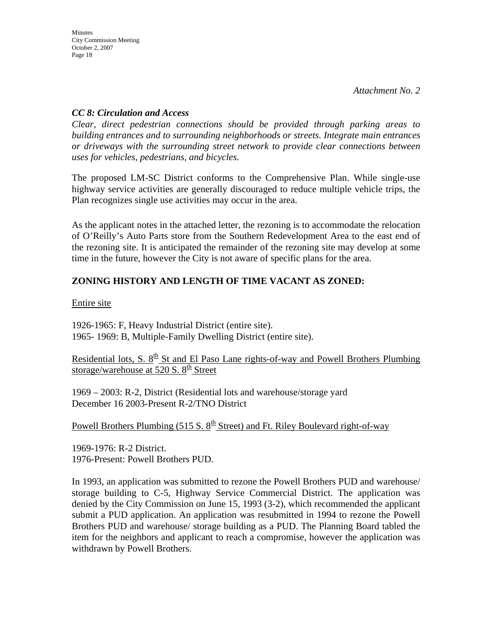## *CC 8: Circulation and Access*

*Clear, direct pedestrian connections should be provided through parking areas to building entrances and to surrounding neighborhoods or streets. Integrate main entrances or driveways with the surrounding street network to provide clear connections between uses for vehicles, pedestrians, and bicycles.* 

The proposed LM-SC District conforms to the Comprehensive Plan. While single-use highway service activities are generally discouraged to reduce multiple vehicle trips, the Plan recognizes single use activities may occur in the area.

As the applicant notes in the attached letter, the rezoning is to accommodate the relocation of O'Reilly's Auto Parts store from the Southern Redevelopment Area to the east end of the rezoning site. It is anticipated the remainder of the rezoning site may develop at some time in the future, however the City is not aware of specific plans for the area.

# **ZONING HISTORY AND LENGTH OF TIME VACANT AS ZONED:**

Entire site

1926-1965: F, Heavy Industrial District (entire site). 1965- 1969: B, Multiple-Family Dwelling District (entire site).

Residential lots, S.  $8<sup>th</sup>$  St and El Paso Lane rights-of-way and Powell Brothers Plumbing storage/warehouse at 520 S.  $8<sup>th</sup>$  Street

1969 – 2003: R-2, District (Residential lots and warehouse/storage yard December 16 2003-Present R-2/TNO District

Powell Brothers Plumbing (515 S.  $8<sup>th</sup>$  Street) and Ft. Riley Boulevard right-of-way

1969-1976: R-2 District. 1976-Present: Powell Brothers PUD.

In 1993, an application was submitted to rezone the Powell Brothers PUD and warehouse/ storage building to C-5, Highway Service Commercial District. The application was denied by the City Commission on June 15, 1993 (3-2), which recommended the applicant submit a PUD application. An application was resubmitted in 1994 to rezone the Powell Brothers PUD and warehouse/ storage building as a PUD. The Planning Board tabled the item for the neighbors and applicant to reach a compromise, however the application was withdrawn by Powell Brothers.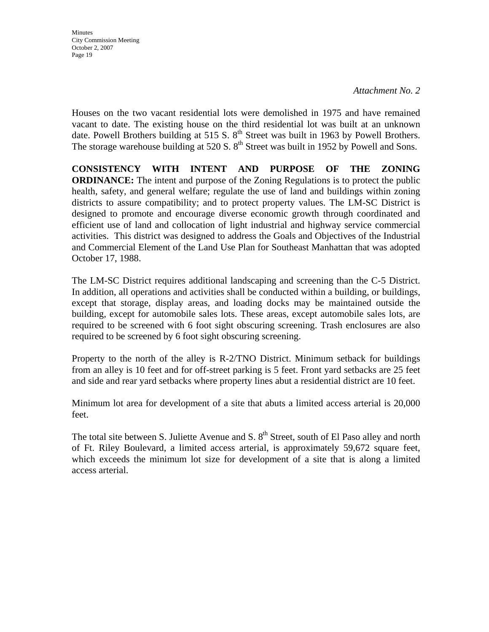**Minutes** City Commission Meeting October 2, 2007 Page 19

#### *Attachment No. 2*

Houses on the two vacant residential lots were demolished in 1975 and have remained vacant to date. The existing house on the third residential lot was built at an unknown date. Powell Brothers building at 515 S.  $8<sup>th</sup>$  Street was built in 1963 by Powell Brothers. The storage warehouse building at 520 S.  $8<sup>th</sup>$  Street was built in 1952 by Powell and Sons.

**CONSISTENCY WITH INTENT AND PURPOSE OF THE ZONING ORDINANCE:** The intent and purpose of the Zoning Regulations is to protect the public health, safety, and general welfare; regulate the use of land and buildings within zoning districts to assure compatibility; and to protect property values. The LM-SC District is designed to promote and encourage diverse economic growth through coordinated and efficient use of land and collocation of light industrial and highway service commercial activities. This district was designed to address the Goals and Objectives of the Industrial and Commercial Element of the Land Use Plan for Southeast Manhattan that was adopted October 17, 1988.

The LM-SC District requires additional landscaping and screening than the C-5 District. In addition, all operations and activities shall be conducted within a building, or buildings, except that storage, display areas, and loading docks may be maintained outside the building, except for automobile sales lots. These areas, except automobile sales lots, are required to be screened with 6 foot sight obscuring screening. Trash enclosures are also required to be screened by 6 foot sight obscuring screening.

Property to the north of the alley is R-2/TNO District. Minimum setback for buildings from an alley is 10 feet and for off-street parking is 5 feet. Front yard setbacks are 25 feet and side and rear yard setbacks where property lines abut a residential district are 10 feet.

Minimum lot area for development of a site that abuts a limited access arterial is 20,000 feet.

The total site between S. Juliette Avenue and S. 8<sup>th</sup> Street, south of El Paso alley and north of Ft. Riley Boulevard, a limited access arterial, is approximately 59,672 square feet, which exceeds the minimum lot size for development of a site that is along a limited access arterial.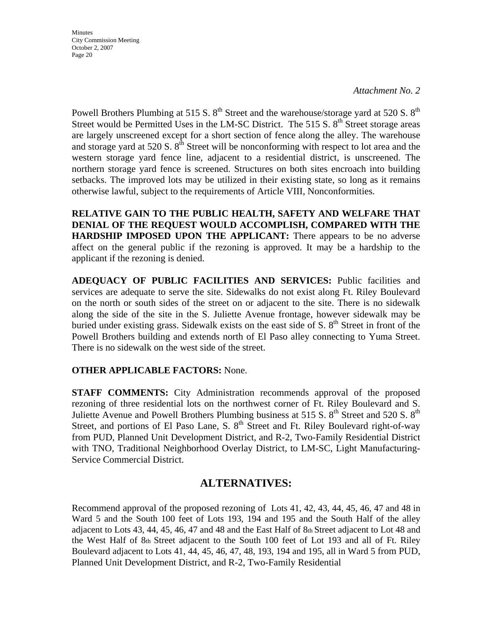Minutes City Commission Meeting October 2, 2007 Page 20

*Attachment No. 2* 

Powell Brothers Plumbing at 515 S.  $8^{th}$  Street and the warehouse/storage yard at 520 S.  $8^{th}$ Street would be Permitted Uses in the LM-SC District. The 515 S,  $8<sup>th</sup>$  Street storage areas are largely unscreened except for a short section of fence along the alley. The warehouse and storage yard at 520 S.  $8<sup>th</sup>$  Street will be nonconforming with respect to lot area and the western storage yard fence line, adjacent to a residential district, is unscreened. The northern storage yard fence is screened. Structures on both sites encroach into building setbacks. The improved lots may be utilized in their existing state, so long as it remains otherwise lawful, subject to the requirements of Article VIII, Nonconformities.

**RELATIVE GAIN TO THE PUBLIC HEALTH, SAFETY AND WELFARE THAT DENIAL OF THE REQUEST WOULD ACCOMPLISH, COMPARED WITH THE HARDSHIP IMPOSED UPON THE APPLICANT:** There appears to be no adverse affect on the general public if the rezoning is approved. It may be a hardship to the applicant if the rezoning is denied.

**ADEQUACY OF PUBLIC FACILITIES AND SERVICES:** Public facilities and services are adequate to serve the site. Sidewalks do not exist along Ft. Riley Boulevard on the north or south sides of the street on or adjacent to the site. There is no sidewalk along the side of the site in the S. Juliette Avenue frontage, however sidewalk may be buried under existing grass. Sidewalk exists on the east side of S.  $8<sup>th</sup>$  Street in front of the Powell Brothers building and extends north of El Paso alley connecting to Yuma Street. There is no sidewalk on the west side of the street.

## **OTHER APPLICABLE FACTORS:** None.

**STAFF COMMENTS:** City Administration recommends approval of the proposed rezoning of three residential lots on the northwest corner of Ft. Riley Boulevard and S. Juliette Avenue and Powell Brothers Plumbing business at 515 S.  $8<sup>th</sup>$  Street and 520 S.  $8<sup>th</sup>$ Street, and portions of El Paso Lane, S.  $8<sup>th</sup>$  Street and Ft. Riley Boulevard right-of-way from PUD, Planned Unit Development District, and R-2, Two-Family Residential District with TNO, Traditional Neighborhood Overlay District, to LM-SC, Light Manufacturing-Service Commercial District.

# **ALTERNATIVES:**

Recommend approval of the proposed rezoning of Lots 41, 42, 43, 44, 45, 46, 47 and 48 in Ward 5 and the South 100 feet of Lots 193, 194 and 195 and the South Half of the alley adjacent to Lots 43, 44, 45, 46, 47 and 48 and the East Half of 8th Street adjacent to Lot 48 and the West Half of 8th Street adjacent to the South 100 feet of Lot 193 and all of Ft. Riley Boulevard adjacent to Lots 41, 44, 45, 46, 47, 48, 193, 194 and 195, all in Ward 5 from PUD, Planned Unit Development District, and R-2, Two-Family Residential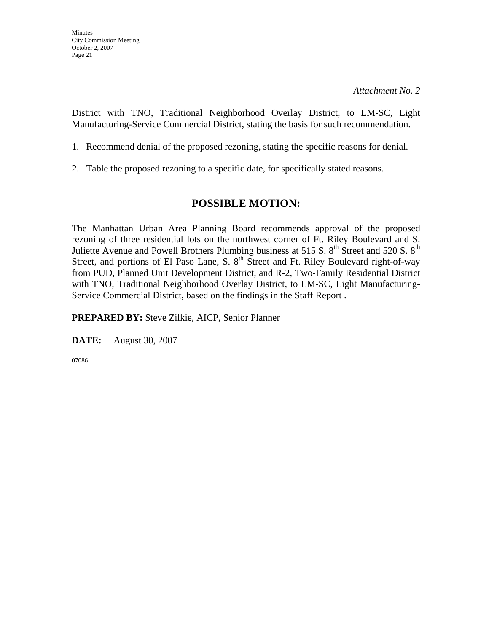District with TNO, Traditional Neighborhood Overlay District, to LM-SC, Light Manufacturing-Service Commercial District, stating the basis for such recommendation.

- 1. Recommend denial of the proposed rezoning, stating the specific reasons for denial.
- 2. Table the proposed rezoning to a specific date, for specifically stated reasons.

# **POSSIBLE MOTION:**

The Manhattan Urban Area Planning Board recommends approval of the proposed rezoning of three residential lots on the northwest corner of Ft. Riley Boulevard and S. Juliette Avenue and Powell Brothers Plumbing business at 515 S.  $8<sup>th</sup>$  Street and 520 S.  $8<sup>th</sup>$ Street, and portions of El Paso Lane, S. 8<sup>th</sup> Street and Ft. Riley Boulevard right-of-way from PUD, Planned Unit Development District, and R-2, Two-Family Residential District with TNO, Traditional Neighborhood Overlay District, to LM-SC, Light Manufacturing-Service Commercial District, based on the findings in the Staff Report .

**PREPARED BY:** Steve Zilkie, AICP, Senior Planner

**DATE:** August 30, 2007

07086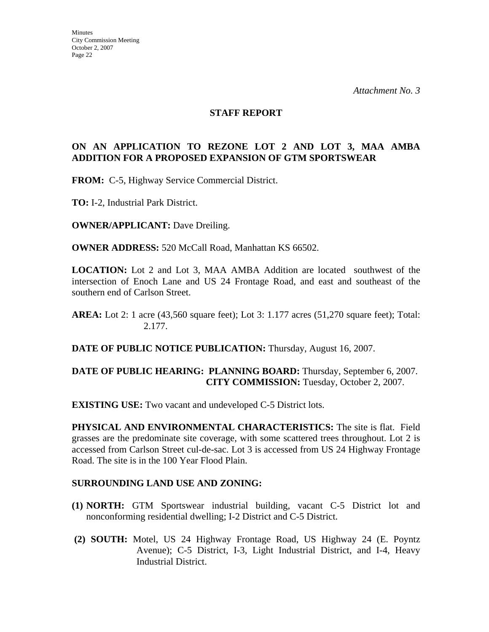#### **STAFF REPORT**

## **ON AN APPLICATION TO REZONE LOT 2 AND LOT 3, MAA AMBA ADDITION FOR A PROPOSED EXPANSION OF GTM SPORTSWEAR**

**FROM:** C-5, Highway Service Commercial District.

**TO:** I-2, Industrial Park District.

**OWNER/APPLICANT:** Dave Dreiling.

**OWNER ADDRESS:** 520 McCall Road, Manhattan KS 66502.

**LOCATION:** Lot 2 and Lot 3, MAA AMBA Addition are located southwest of the intersection of Enoch Lane and US 24 Frontage Road, and east and southeast of the southern end of Carlson Street.

**DATE OF PUBLIC NOTICE PUBLICATION:** Thursday, August 16, 2007.

## **DATE OF PUBLIC HEARING: PLANNING BOARD:** Thursday, September 6, 2007. **CITY COMMISSION:** Tuesday, October 2, 2007.

**EXISTING USE:** Two vacant and undeveloped C-5 District lots.

**PHYSICAL AND ENVIRONMENTAL CHARACTERISTICS:** The site is flat. Field grasses are the predominate site coverage, with some scattered trees throughout. Lot 2 is accessed from Carlson Street cul-de-sac. Lot 3 is accessed from US 24 Highway Frontage Road. The site is in the 100 Year Flood Plain.

#### **SURROUNDING LAND USE AND ZONING:**

- **(1) NORTH:** GTM Sportswear industrial building, vacant C-5 District lot and nonconforming residential dwelling; I-2 District and C-5 District.
- **(2) SOUTH:** Motel, US 24 Highway Frontage Road, US Highway 24 (E. Poyntz Avenue); C-5 District, I-3, Light Industrial District, and I-4, Heavy Industrial District.

**AREA:** Lot 2: 1 acre (43,560 square feet); Lot 3: 1.177 acres (51,270 square feet); Total: 2.177.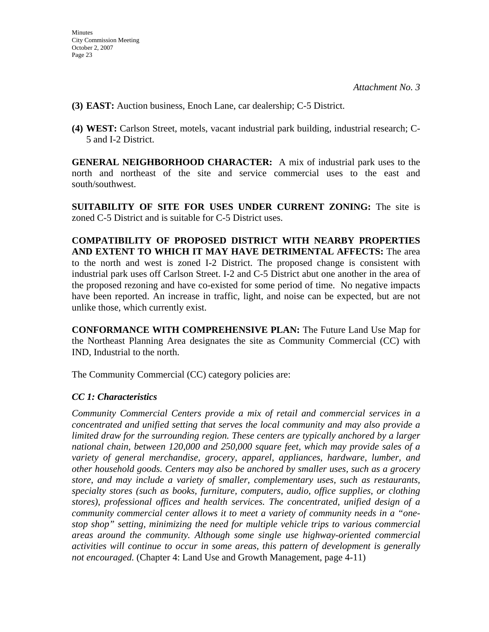- **(3) EAST:** Auction business, Enoch Lane, car dealership; C-5 District.
- **(4) WEST:** Carlson Street, motels, vacant industrial park building, industrial research; C-5 and I-2 District.

**GENERAL NEIGHBORHOOD CHARACTER:** A mix of industrial park uses to the north and northeast of the site and service commercial uses to the east and south/southwest.

**SUITABILITY OF SITE FOR USES UNDER CURRENT ZONING:** The site is zoned C-5 District and is suitable for C-5 District uses.

**COMPATIBILITY OF PROPOSED DISTRICT WITH NEARBY PROPERTIES AND EXTENT TO WHICH IT MAY HAVE DETRIMENTAL AFFECTS:** The area to the north and west is zoned I-2 District. The proposed change is consistent with industrial park uses off Carlson Street. I-2 and C-5 District abut one another in the area of the proposed rezoning and have co-existed for some period of time. No negative impacts have been reported. An increase in traffic, light, and noise can be expected, but are not unlike those, which currently exist.

**CONFORMANCE WITH COMPREHENSIVE PLAN:** The Future Land Use Map for the Northeast Planning Area designates the site as Community Commercial (CC) with IND, Industrial to the north.

The Community Commercial (CC) category policies are:

## *CC 1: Characteristics*

*Community Commercial Centers provide a mix of retail and commercial services in a concentrated and unified setting that serves the local community and may also provide a limited draw for the surrounding region. These centers are typically anchored by a larger national chain, between 120,000 and 250,000 square feet, which may provide sales of a variety of general merchandise, grocery, apparel, appliances, hardware, lumber, and other household goods. Centers may also be anchored by smaller uses, such as a grocery store, and may include a variety of smaller, complementary uses, such as restaurants, specialty stores (such as books, furniture, computers, audio, office supplies, or clothing stores), professional offices and health services. The concentrated, unified design of a community commercial center allows it to meet a variety of community needs in a "onestop shop" setting, minimizing the need for multiple vehicle trips to various commercial areas around the community. Although some single use highway-oriented commercial activities will continue to occur in some areas, this pattern of development is generally not encouraged.* (Chapter 4: Land Use and Growth Management, page 4-11)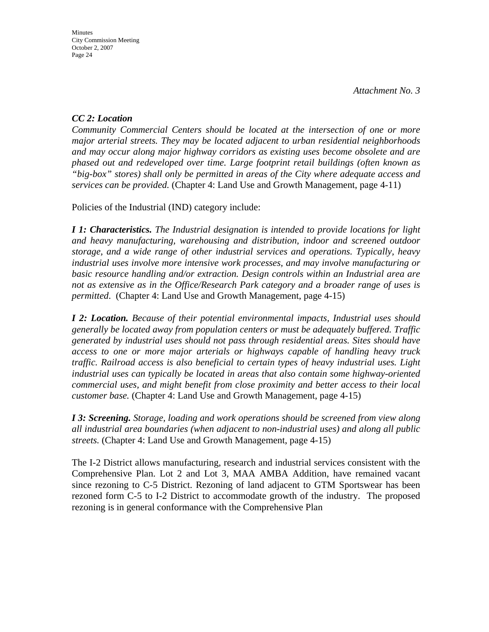## *CC 2: Location*

*Community Commercial Centers should be located at the intersection of one or more major arterial streets. They may be located adjacent to urban residential neighborhoods and may occur along major highway corridors as existing uses become obsolete and are phased out and redeveloped over time. Large footprint retail buildings (often known as "big-box" stores) shall only be permitted in areas of the City where adequate access and services can be provided.* (Chapter 4: Land Use and Growth Management, page 4-11)

Policies of the Industrial (IND) category include:

*I 1: Characteristics. The Industrial designation is intended to provide locations for light and heavy manufacturing, warehousing and distribution, indoor and screened outdoor storage, and a wide range of other industrial services and operations. Typically, heavy industrial uses involve more intensive work processes, and may involve manufacturing or basic resource handling and/or extraction. Design controls within an Industrial area are not as extensive as in the Office/Research Park category and a broader range of uses is permitted*. (Chapter 4: Land Use and Growth Management, page 4-15)

*I 2: Location. Because of their potential environmental impacts, Industrial uses should generally be located away from population centers or must be adequately buffered. Traffic generated by industrial uses should not pass through residential areas. Sites should have access to one or more major arterials or highways capable of handling heavy truck traffic. Railroad access is also beneficial to certain types of heavy industrial uses. Light industrial uses can typically be located in areas that also contain some highway-oriented commercial uses, and might benefit from close proximity and better access to their local customer base.* (Chapter 4: Land Use and Growth Management, page 4-15)

*I 3: Screening. Storage, loading and work operations should be screened from view along all industrial area boundaries (when adjacent to non-industrial uses) and along all public streets.* (Chapter 4: Land Use and Growth Management, page 4-15)

The I-2 District allows manufacturing, research and industrial services consistent with the Comprehensive Plan. Lot 2 and Lot 3, MAA AMBA Addition, have remained vacant since rezoning to C-5 District. Rezoning of land adjacent to GTM Sportswear has been rezoned form C-5 to I-2 District to accommodate growth of the industry. The proposed rezoning is in general conformance with the Comprehensive Plan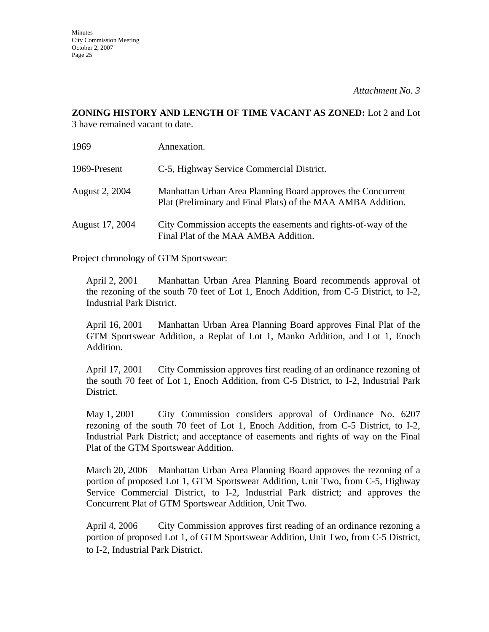# **ZONING HISTORY AND LENGTH OF TIME VACANT AS ZONED:** Lot 2 and Lot

3 have remained vacant to date.

| 1969                  | Annexation.                                                                                                                 |
|-----------------------|-----------------------------------------------------------------------------------------------------------------------------|
| 1969-Present          | C-5, Highway Service Commercial District.                                                                                   |
| <b>August 2, 2004</b> | Manhattan Urban Area Planning Board approves the Concurrent<br>Plat (Preliminary and Final Plats) of the MAA AMBA Addition. |
| August 17, 2004       | City Commission accepts the easements and rights-of-way of the<br>Final Plat of the MAA AMBA Addition.                      |

Project chronology of GTM Sportswear:

April 2, 2001 Manhattan Urban Area Planning Board recommends approval of the rezoning of the south 70 feet of Lot 1, Enoch Addition, from C-5 District, to I-2, Industrial Park District.

April 16, 2001 Manhattan Urban Area Planning Board approves Final Plat of the GTM Sportswear Addition, a Replat of Lot 1, Manko Addition, and Lot 1, Enoch Addition.

April 17, 2001 City Commission approves first reading of an ordinance rezoning of the south 70 feet of Lot 1, Enoch Addition, from C-5 District, to I-2, Industrial Park District.

May 1, 2001 City Commission considers approval of Ordinance No. 6207 rezoning of the south 70 feet of Lot 1, Enoch Addition, from C-5 District, to I-2, Industrial Park District; and acceptance of easements and rights of way on the Final Plat of the GTM Sportswear Addition.

March 20, 2006 Manhattan Urban Area Planning Board approves the rezoning of a portion of proposed Lot 1, GTM Sportswear Addition, Unit Two, from C-5, Highway Service Commercial District, to I-2, Industrial Park district; and approves the Concurrent Plat of GTM Sportswear Addition, Unit Two.

April 4, 2006 City Commission approves first reading of an ordinance rezoning a portion of proposed Lot 1, of GTM Sportswear Addition, Unit Two, from C-5 District, to I-2, Industrial Park District.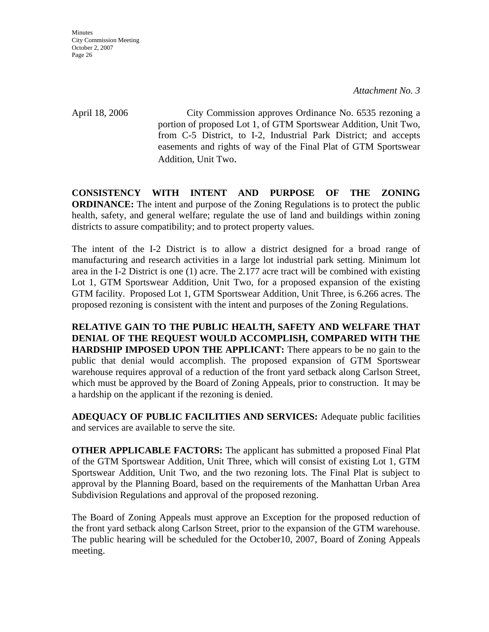April 18, 2006 City Commission approves Ordinance No. 6535 rezoning a portion of proposed Lot 1, of GTM Sportswear Addition, Unit Two, from C-5 District, to I-2, Industrial Park District; and accepts easements and rights of way of the Final Plat of GTM Sportswear Addition, Unit Two.

**CONSISTENCY WITH INTENT AND PURPOSE OF THE ZONING ORDINANCE:** The intent and purpose of the Zoning Regulations is to protect the public health, safety, and general welfare; regulate the use of land and buildings within zoning districts to assure compatibility; and to protect property values.

The intent of the I-2 District is to allow a district designed for a broad range of manufacturing and research activities in a large lot industrial park setting. Minimum lot area in the I-2 District is one (1) acre. The 2.177 acre tract will be combined with existing Lot 1, GTM Sportswear Addition, Unit Two, for a proposed expansion of the existing GTM facility. Proposed Lot 1, GTM Sportswear Addition, Unit Three, is 6.266 acres. The proposed rezoning is consistent with the intent and purposes of the Zoning Regulations.

**RELATIVE GAIN TO THE PUBLIC HEALTH, SAFETY AND WELFARE THAT DENIAL OF THE REQUEST WOULD ACCOMPLISH, COMPARED WITH THE HARDSHIP IMPOSED UPON THE APPLICANT:** There appears to be no gain to the public that denial would accomplish. The proposed expansion of GTM Sportswear warehouse requires approval of a reduction of the front yard setback along Carlson Street, which must be approved by the Board of Zoning Appeals, prior to construction. It may be a hardship on the applicant if the rezoning is denied.

**ADEQUACY OF PUBLIC FACILITIES AND SERVICES:** Adequate public facilities and services are available to serve the site.

**OTHER APPLICABLE FACTORS:** The applicant has submitted a proposed Final Plat of the GTM Sportswear Addition, Unit Three, which will consist of existing Lot 1, GTM Sportswear Addition, Unit Two, and the two rezoning lots. The Final Plat is subject to approval by the Planning Board, based on the requirements of the Manhattan Urban Area Subdivision Regulations and approval of the proposed rezoning.

The Board of Zoning Appeals must approve an Exception for the proposed reduction of the front yard setback along Carlson Street, prior to the expansion of the GTM warehouse. The public hearing will be scheduled for the October10, 2007, Board of Zoning Appeals meeting.